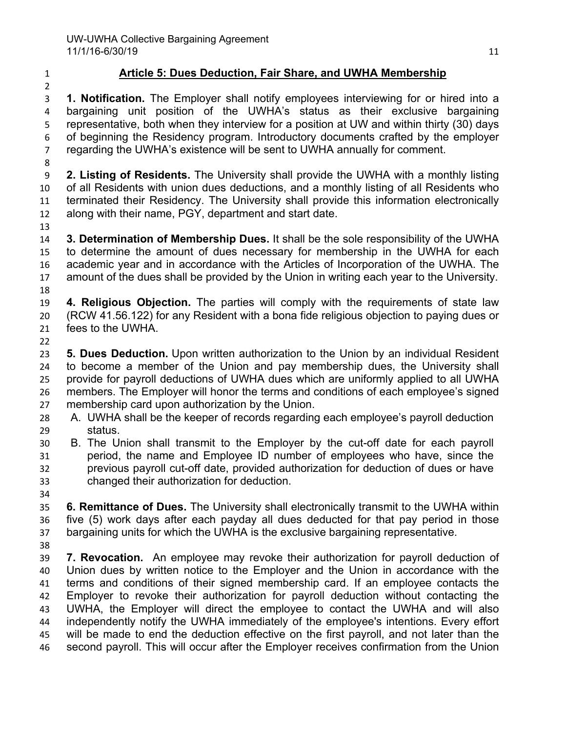## **Article 5: Dues Deduction, Fair Share, and UWHA Membership**

 **1. Notification.** The Employer shall notify employees interviewing for or hired into a bargaining unit position of the UWHA's status as their exclusive bargaining representative, both when they interview for a position at UW and within thirty (30) days of beginning the Residency program. Introductory documents crafted by the employer regarding the UWHA's existence will be sent to UWHA annually for comment.

 **2. Listing of Residents.** The University shall provide the UWHA with a monthly listing of all Residents with union dues deductions, and a monthly listing of all Residents who terminated their Residency. The University shall provide this information electronically along with their name, PGY, department and start date.

 **3. Determination of Membership Dues.** It shall be the sole responsibility of the UWHA to determine the amount of dues necessary for membership in the UWHA for each academic year and in accordance with the Articles of Incorporation of the UWHA. The amount of the dues shall be provided by the Union in writing each year to the University. 

 **4. Religious Objection.** The parties will comply with the requirements of state law (RCW 41.56.122) for any Resident with a bona fide religious objection to paying dues or fees to the UWHA.

 **5. Dues Deduction.** Upon written authorization to the Union by an individual Resident to become a member of the Union and pay membership dues, the University shall provide for payroll deductions of UWHA dues which are uniformly applied to all UWHA members. The Employer will honor the terms and conditions of each employee's signed membership card upon authorization by the Union.

- A. UWHA shall be the keeper of records regarding each employee's payroll deduction status.
- B. The Union shall transmit to the Employer by the cut-off date for each payroll period, the name and Employee ID number of employees who have, since the previous payroll cut-off date, provided authorization for deduction of dues or have changed their authorization for deduction.
- 

 **6. Remittance of Dues.** The University shall electronically transmit to the UWHA within five (5) work days after each payday all dues deducted for that pay period in those bargaining units for which the UWHA is the exclusive bargaining representative.

 **7. Revocation.** An employee may revoke their authorization for payroll deduction of Union dues by written notice to the Employer and the Union in accordance with the terms and conditions of their signed membership card. If an employee contacts the Employer to revoke their authorization for payroll deduction without contacting the UWHA, the Employer will direct the employee to contact the UWHA and will also independently notify the UWHA immediately of the employee's intentions. Every effort will be made to end the deduction effective on the first payroll, and not later than the second payroll. This will occur after the Employer receives confirmation from the Union